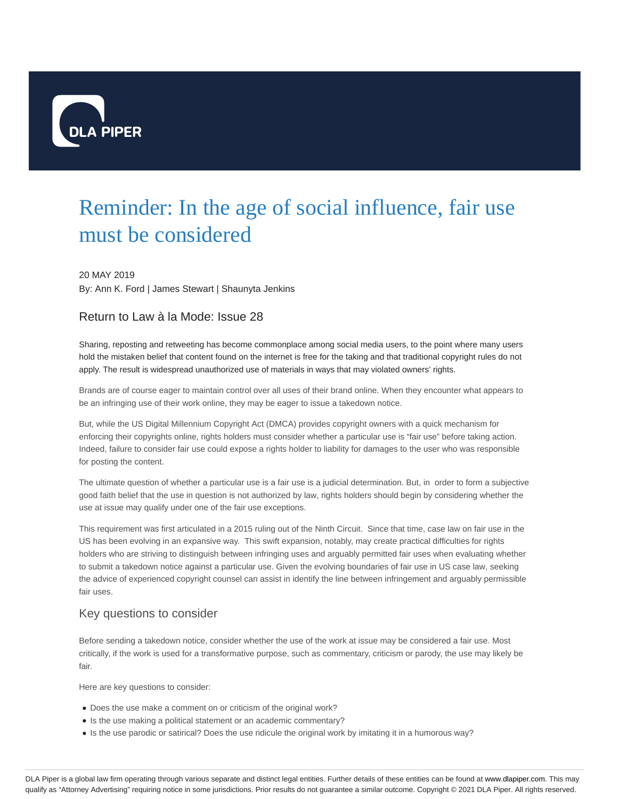

# Reminder: In the age of social influence, fair use must be considered

#### 20 MAY 2019

By: Ann K. Ford | James Stewart | Shaunyta Jenkins

#### Return to Law à la Mode: Issue 28

Sharing, reposting and retweeting has become commonplace among social media users, to the point where many users hold the mistaken belief that content found on the internet is free for the taking and that traditional copyright rules do not apply. The result is widespread unauthorized use of materials in ways that may violated owners' rights.

Brands are of course eager to maintain control over all uses of their brand online. When they encounter what appears to be an infringing use of their work online, they may be eager to issue a takedown notice.

But, while the US Digital Millennium Copyright Act (DMCA) provides copyright owners with a quick mechanism for enforcing their copyrights online, rights holders must consider whether a particular use is "fair use" before taking action. Indeed, failure to consider fair use could expose a rights holder to liability for damages to the user who was responsible for posting the content.

The ultimate question of whether a particular use is a fair use is a judicial determination. But, in order to form a subjective good faith belief that the use in question is not authorized by law, rights holders should begin by considering whether the use at issue may qualify under one of the fair use exceptions.

This requirement was first articulated in a 2015 ruling out of the Ninth Circuit. Since that time, case law on fair use in the US has been evolving in an expansive way. This swift expansion, notably, may create practical difficulties for rights holders who are striving to distinguish between infringing uses and arguably permitted fair uses when evaluating whether to submit a takedown notice against a particular use. Given the evolving boundaries of fair use in US case law, seeking the advice of experienced copyright counsel can assist in identify the line between infringement and arguably permissible fair uses.

#### Key questions to consider

Before sending a takedown notice, consider whether the use of the work at issue may be considered a fair use. Most critically, if the work is used for a transformative purpose, such as commentary, criticism or parody, the use may likely be fair.

Here are key questions to consider:

- Does the use make a comment on or criticism of the original work?
- Is the use making a political statement or an academic commentary?
- Is the use parodic or satirical? Does the use ridicule the original work by imitating it in a humorous way?